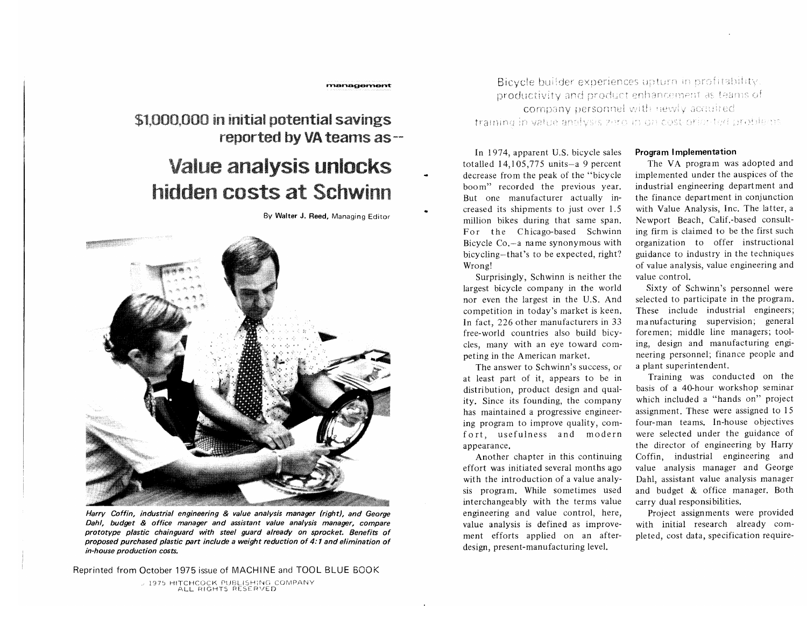# \$1,000,000 in initial potential savings reported by VA teams as-

# **Value analysis unlocks** hidden costs at Schwinn

By Walter J. Reed. Managing Editor

management



Harry Coffin, industrial engineering & value analysis manager (right), and George Dahl, budget & office manager and assistant value analysis manager, compare prototype plastic chainguard with steel guard already on sprocket. Benefits of proposed purchased plastic part include a weight reduction of 4:1 and elimination of in-house production costs.

Reprinted from October 1975 issue of MACHINE and TOOL BLUE BOOK

J 1975 HITCHCOCK PUBLISHING COMPANY

Bicycle builder experiences upturn in profitability productivity and product enhancement as teams of company personnel with newly acquired training in value analysis zero in on cost-oriented problems

In 1974, apparent U.S. bicycle sales totalled  $14.105.775$  units-a 9 percent decrease from the peak of the "bicycle" boom" recorded the previous year. But one manufacturer actually increased its shipments to just over 1.5 million bikes during that same span. For the Chicago-based Schwinn Bicycle Co,—a name synonymous with bicycling-that's to be expected, right? Wrong!

Surprisingly, Schwinn is neither the largest bicycle company in the world nor even the largest in the U.S. And competition in today's market is keen. In fact, 226 other manufacturers in 33 free-world countries also build bicycles. many with an eye toward competing in the American market.

The answer to Schwinn's success, or at least part of it, appears to be in distribution, product design and quality. Since its founding, the company has maintained a progressive engineering program to improve quality, comfort, usefulness and modern appearance.

Another chapter in this continuing effort was initiated several months ago with the introduction of a value analysis program. While sometimes used interchangeably with the terms value engineering and value control, here, value analysis is defined as improvement efforts applied on an afterdesign, present-manufacturing level.

#### Program Implementation

The VA program was adopted and implemented under the auspices of the industrial engineering department and the finance department in conjunction with Value Analysis, Inc. The latter, a Newport Beach, Calif.-based consulting firm is claimed to be the first such organization to offer instructional guidance to industry in the techniques of value analysis, value engineering and value control.

Sixty of Schwinn's personnel were selected to participate in the program. These include industrial engineers; manufacturing supervision; general foremen; middle line managers; tooling, design and manufacturing engineering personnel; finance people and a plant superintendent.

Training was conducted on the basis of a 40-hour workshop seminar which included a "hands on" project assignment. These were assigned to 15 four-man teams. In-house objectives were selected under the guidance of the director of engineering by Harry Coffin, industrial engineering and value analysis manager and George Dahl, assistant value analysis manager and budget & office manager. Both carry dual responsibilities.

Project assignments were provided with initial research already completed, cost data, specification require-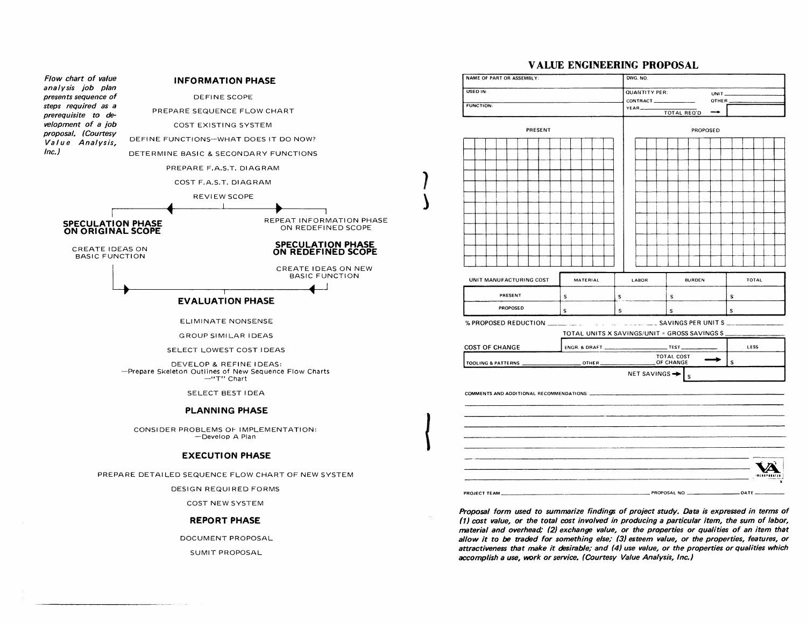

PREPARE DETAILED SEQUENCE FLOW CHART OF NEW SYSTEM

DESIGN REQUIRED FORMS

COST NEW SYSTEM

#### **REPORT PHASE**

DOCUMENT PROPOSAL

SUMlT PROPOSAL

### **VALUE ENGINEERING PROPOSAL**

| CONTRACT_<br>OTHER_<br>YEAR<br><b>TOTAL REQ'D</b><br>PRESENT<br>PROPOSED<br>MATERIAL<br><b>BURDEN</b><br>TOTAL<br>LABOR<br>PRESENT<br>S<br>s<br>s.<br>S<br>PROPOSED<br>s<br>$\mathsf{s}$<br>s<br>s<br>TOTAL UNITS X SAVINGS/UNIT = GROSS SAVINGS S<br>Test<br>LESS<br>ENGR. & DRAFT.<br>TOTAL COST<br>s<br>OF CHANGE<br>$T = 0$ THER<br>NET SAVINGS $\rightarrow$ $\vert$ s | <b>FUNCTION:</b><br>UNIT MANUFACTURING COST<br><b>COST OF CHANGE</b><br>TOOLING & PATTERNS<br>COMMENTS AND ADDITIONAL RECOMMENDATIONS: ___________ | USED IN: | <b>QUANTITY PER:</b> | UNIT_ |  |
|-----------------------------------------------------------------------------------------------------------------------------------------------------------------------------------------------------------------------------------------------------------------------------------------------------------------------------------------------------------------------------|----------------------------------------------------------------------------------------------------------------------------------------------------|----------|----------------------|-------|--|
|                                                                                                                                                                                                                                                                                                                                                                             |                                                                                                                                                    |          |                      |       |  |
|                                                                                                                                                                                                                                                                                                                                                                             |                                                                                                                                                    |          |                      |       |  |
|                                                                                                                                                                                                                                                                                                                                                                             |                                                                                                                                                    |          |                      |       |  |
|                                                                                                                                                                                                                                                                                                                                                                             |                                                                                                                                                    |          |                      |       |  |
|                                                                                                                                                                                                                                                                                                                                                                             |                                                                                                                                                    |          |                      |       |  |
|                                                                                                                                                                                                                                                                                                                                                                             |                                                                                                                                                    |          |                      |       |  |
|                                                                                                                                                                                                                                                                                                                                                                             |                                                                                                                                                    |          |                      |       |  |
|                                                                                                                                                                                                                                                                                                                                                                             |                                                                                                                                                    |          |                      |       |  |
|                                                                                                                                                                                                                                                                                                                                                                             |                                                                                                                                                    |          |                      |       |  |
|                                                                                                                                                                                                                                                                                                                                                                             |                                                                                                                                                    |          |                      |       |  |
|                                                                                                                                                                                                                                                                                                                                                                             |                                                                                                                                                    |          |                      |       |  |
|                                                                                                                                                                                                                                                                                                                                                                             |                                                                                                                                                    |          |                      |       |  |
|                                                                                                                                                                                                                                                                                                                                                                             |                                                                                                                                                    |          |                      |       |  |
|                                                                                                                                                                                                                                                                                                                                                                             |                                                                                                                                                    |          |                      |       |  |
|                                                                                                                                                                                                                                                                                                                                                                             |                                                                                                                                                    |          |                      |       |  |
|                                                                                                                                                                                                                                                                                                                                                                             |                                                                                                                                                    |          |                      |       |  |
|                                                                                                                                                                                                                                                                                                                                                                             |                                                                                                                                                    |          |                      |       |  |
|                                                                                                                                                                                                                                                                                                                                                                             |                                                                                                                                                    |          |                      |       |  |
|                                                                                                                                                                                                                                                                                                                                                                             |                                                                                                                                                    |          |                      |       |  |
|                                                                                                                                                                                                                                                                                                                                                                             |                                                                                                                                                    |          |                      |       |  |
|                                                                                                                                                                                                                                                                                                                                                                             |                                                                                                                                                    |          |                      |       |  |
|                                                                                                                                                                                                                                                                                                                                                                             |                                                                                                                                                    |          |                      |       |  |
|                                                                                                                                                                                                                                                                                                                                                                             |                                                                                                                                                    |          |                      |       |  |
|                                                                                                                                                                                                                                                                                                                                                                             |                                                                                                                                                    |          |                      |       |  |
|                                                                                                                                                                                                                                                                                                                                                                             |                                                                                                                                                    |          |                      |       |  |
|                                                                                                                                                                                                                                                                                                                                                                             |                                                                                                                                                    |          |                      |       |  |
|                                                                                                                                                                                                                                                                                                                                                                             |                                                                                                                                                    |          |                      |       |  |
|                                                                                                                                                                                                                                                                                                                                                                             |                                                                                                                                                    |          |                      |       |  |
|                                                                                                                                                                                                                                                                                                                                                                             |                                                                                                                                                    |          |                      |       |  |
|                                                                                                                                                                                                                                                                                                                                                                             |                                                                                                                                                    |          |                      |       |  |
|                                                                                                                                                                                                                                                                                                                                                                             |                                                                                                                                                    |          |                      |       |  |
|                                                                                                                                                                                                                                                                                                                                                                             |                                                                                                                                                    |          |                      |       |  |
|                                                                                                                                                                                                                                                                                                                                                                             |                                                                                                                                                    |          |                      |       |  |
| PROPOSAL NO.<br>DATE                                                                                                                                                                                                                                                                                                                                                        |                                                                                                                                                    |          |                      |       |  |

Proposal form used to summarize findings of project study. Data is expressed in terms of **(1)** cost value, or the total cost involved in producing a particular item, the sum of labor, material and overhead; **(2)** exchange value, or the properties or qualities of an item that allow it to be traakd for something else; **(3)** esteem value, or the properties, features, or attractiveness that make it desirable; and **(4)** use value, or the properties or qualities which accomplish a use, work or service. (Courtesy Value Analysis, Inc.)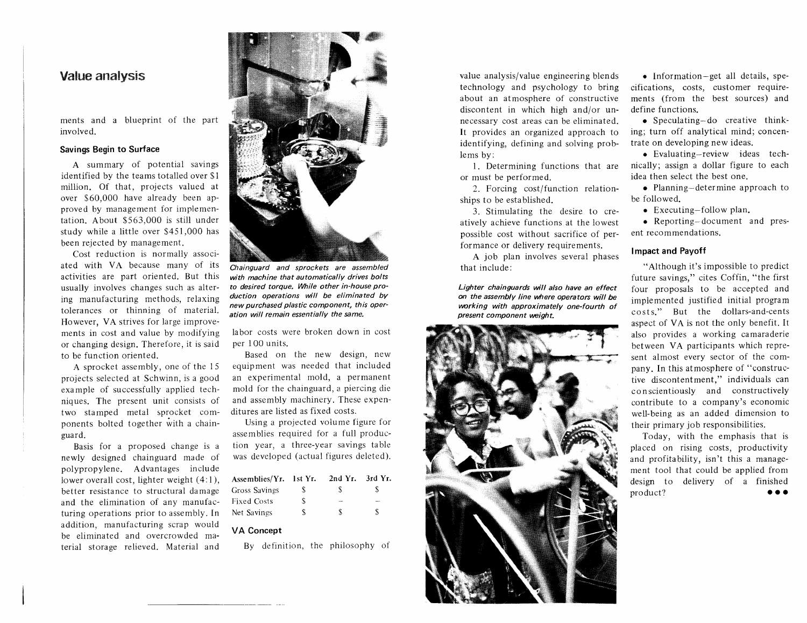# **Value analysis**

ments and a blueprint of the part involved.

#### **Savings Begin to Surface**

A summary of potential savings identified by the teams totalled over \$1 million. Of that, projects valued at over \$60,000 have already been approved by management for implementation. About *\$5* 63,000 is still under study while a little over \$451,000 has been rejected by management.

Cost reduction is normally associated with VA because many of its activities are part oriented. But this usually involves changes such as altering manufacturing methods, relaxing tolerances or thinning of material. However, VA strives for large improvements in cost and value by modifying or changing design. Therefore, it is said to be function oriented.

A sprocket assembly, one of the 15 projects selected at Schwinn, is a good example of successfully applied techniques. The present unit consists of two stamped metal sprocket components bolted together with a chainguard.

Basis for a proposed change is a newly designed chainguard made of polypropylene. Advantages include lower overall cost, lighter weight  $(4:1)$ , better resistance to structural damage and the elimination of any manufacturing operations prior to assembly. In addition, manufacturing scrap would be eliminated and overcrowded material storage relieved. Material and



**Chainguard and sprockets are assembled with machine that automatically drives bolts to desired torque. While other in-house production operations will be eliminated by new purchased plastic component, this operation will remain essentially the same.** 

labor costs were broken down in cost per 100 units.

Based on the new design, new equipment was needed that included an experimental mold, a permanent mold for the chainguard, a piercing die and assembly machinery. These expenditures are listed as fixed costs.

Using a projected volume figure for assemblies required for a full production year, a three-year savings table was developed (actual figures deleted).

| Assemblies/Yr. 1st Yr. |    | 2nd $Yr$ . 3rd $Yr$ . |   |
|------------------------|----|-----------------------|---|
| Gross Savings          | S. | S                     | х |
| Fixed Costs            | S. | <b>Selection</b>      | - |
| Net Savings            | ٢  | S                     | S |

#### **VA Concept**

By definition, the philosophy of

value analysis/value engineering blends technology and psychology to bring about an atmosphere of constructive discontent in which high and/or unnecessary cost areas can be eliminated. It provides an organized approach to identifying, defining and solving problems by:

1. Determining functions that are or must be performed.

2. Forcing cost/function relationships to be established.

**3.** Stimulating the desire to creatively achieve functions at the lowest possible cost without sacrifice of performance or delivery requirements.

A job plan involves several phases that include:

Lighter chainguards will also have an effect **on the assembly line where operators will be working with approximately one-fourth of present component weigh t.** 



**0** Information-get all details, specifications, costs, customer requirements (from the best sources) and define functions.

• Speculating-do creative thinking; turn off analytical mind; concentrate on developing new ideas.

• Evaluating-review ideas technically; assign a dollar figure to each idea then select the best one.

• Planning-determine approach to be followed.

**0** Executing-follow plan.

**0** Reporting-document and present recommendations.

#### **Impact and Payoff**

"Although it's impossible to predict future savings," cites Coffin, "the first four proposals to be accepted and implemented justified initial program costs." But the dollars-and-cents aspect of VA is not the only benefit. It also provides a working camaraderie between VA participants which represent almost every sector of the company. In this atmosphere of "constructive discontentment," individuals can conscientiously and constructively contribute to a company's economic well-being as an added dimension to their primary job responsibilities.

Today, with the emphasis that is placed on rising costs, productivity and profitability, isn't this a management tool that could be applied from design to delivery of a finished product? **0..**